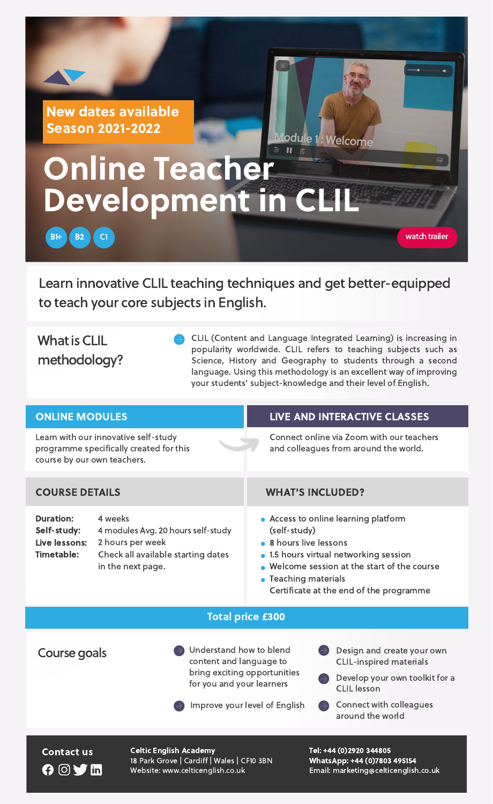Learn innovative CLIL teaching techniques and get better-equipped to teach your core subjects in English.

Contact us Celtic English Academy Tel: +44 (0)2920 344805 18 Park Grove | Cardiff | Wales | CF10 3BN Website: www.celticenglish.co.uk

WhatsApp: +44 (0)7803 495154 Email: marketing@celticenglish.co.uk

# Online Teacher Development in CLIL

# What is CLIL methodology?

B1+ **B2** C1

## New dates available Season 2021-2022

CLIL (Content and Language Integrated Learning) is increasing in popularity worldwide. CLIL refers to teaching subjects such as Science, History and Geography to students through a second language. Using this methodology is an excellent way of improving your students' subject-knowledge and their level of English.

lodule 1. Welcome

Course goals Sunderstand how to blend content and language to bring exciting opportunities for you and your learners



Improve your level of English

- Develop your own toolkit for a CLIL lesson
- Connect with colleagues around the world

OVI

| <b>ONLINE MODULES</b>                                                                                          |                                                                                                                              | LIVE AND INTERACTIVE CLASSES                                                                                                                                                                                                                |  |  |
|----------------------------------------------------------------------------------------------------------------|------------------------------------------------------------------------------------------------------------------------------|---------------------------------------------------------------------------------------------------------------------------------------------------------------------------------------------------------------------------------------------|--|--|
| Learn with our innovative self-study<br>programme specifically created for this<br>course by our own teachers. |                                                                                                                              | Connect online via Zoom with our teachers<br>and colleagues from around the world.                                                                                                                                                          |  |  |
|                                                                                                                |                                                                                                                              |                                                                                                                                                                                                                                             |  |  |
| <b>COURSE DETAILS</b>                                                                                          |                                                                                                                              | <b>WHAT'S INCLUDED?</b>                                                                                                                                                                                                                     |  |  |
| <b>Duration:</b><br>Self-study:<br>Live lessons:<br><b>Timetable:</b>                                          | 4 weeks<br>4 modules Avg. 20 hours self-study<br>2 hours per week<br>Check all available starting dates<br>in the next page. | • Access to online learning platform<br>(self-study)<br>• 8 hours live lessons<br>• 1.5 hours virtual networking session<br>• Welcome session at the start of the course<br>• Teaching materials<br>Certificate at the end of the programme |  |  |



CLIL-inspired materials

watch trailer

#### Total price £300